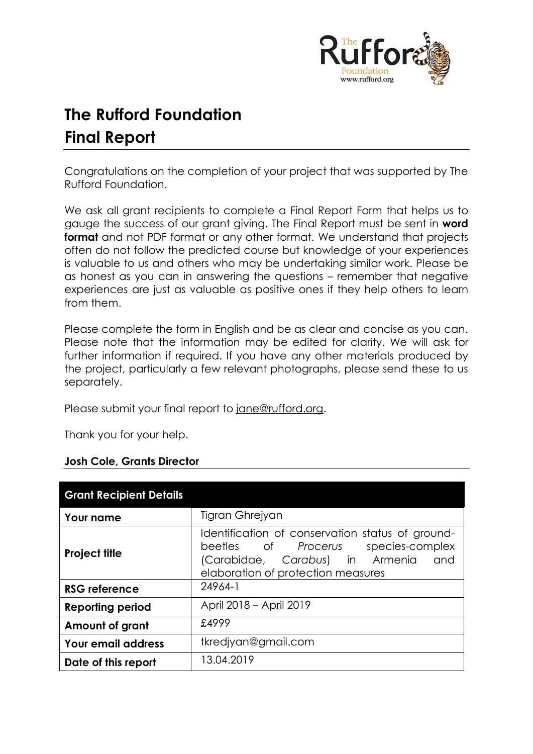

# **The Rufford Foundation Final Report**

Congratulations on the completion of your project that was supported by The Rufford Foundation.

We ask all grant recipients to complete a Final Report Form that helps us to gauge the success of our grant giving. The Final Report must be sent in **word format** and not PDF format or any other format. We understand that projects often do not follow the predicted course but knowledge of your experiences is valuable to us and others who may be undertaking similar work. Please be as honest as you can in answering the questions – remember that negative experiences are just as valuable as positive ones if they help others to learn from them.

Please complete the form in English and be as clear and concise as you can. Please note that the information may be edited for clarity. We will ask for further information if required. If you have any other materials produced by the project, particularly a few relevant photographs, please send these to us separately.

Please submit your final report to [jane@rufford.org.](mailto:jane@rufford.org)

Thank you for your help.

# **Josh Cole, Grants Director**

| <b>Grant Recipient Details</b> |                                                                                                                                                                         |  |  |  |  |  |  |
|--------------------------------|-------------------------------------------------------------------------------------------------------------------------------------------------------------------------|--|--|--|--|--|--|
| Your name                      | Tigran Ghrejyan                                                                                                                                                         |  |  |  |  |  |  |
| <b>Project title</b>           | Identification of conservation status of ground-<br>beetles of Procerus species-complex<br>(Carabidae, Carabus) in Armenia<br>and<br>elaboration of protection measures |  |  |  |  |  |  |
| <b>RSG reference</b>           | 24964-1                                                                                                                                                                 |  |  |  |  |  |  |
| <b>Reporting period</b>        | April 2018 – April 2019                                                                                                                                                 |  |  |  |  |  |  |
| Amount of grant                | £4999                                                                                                                                                                   |  |  |  |  |  |  |
| <b>Your email address</b>      | tkredjyan@gmail.com                                                                                                                                                     |  |  |  |  |  |  |
| Date of this report            | 13.04.2019                                                                                                                                                              |  |  |  |  |  |  |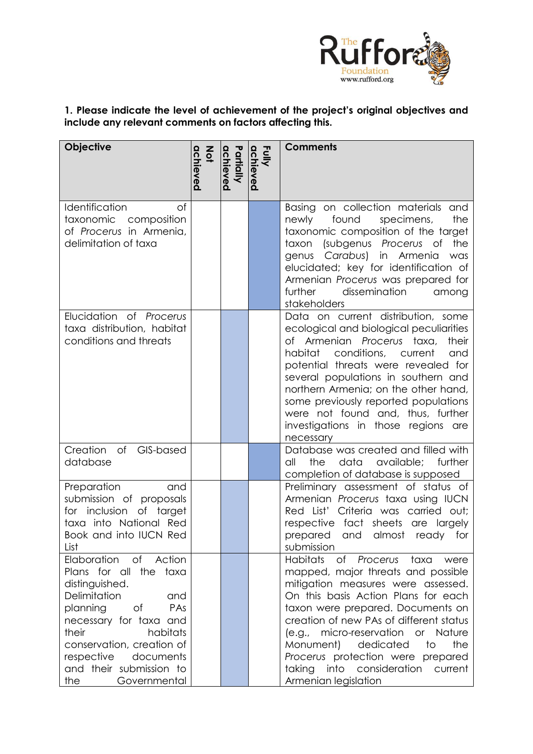

# **1. Please indicate the level of achievement of the project's original objectives and include any relevant comments on factors affecting this.**

| Objective                                                                                                                                                                                                                                                                     | $rac{2}{9}$<br>achieved | Partially<br>achieved | Fully<br>achieved | <b>Comments</b>                                                                                                                                                                                                                                                                                                                                                                                                           |
|-------------------------------------------------------------------------------------------------------------------------------------------------------------------------------------------------------------------------------------------------------------------------------|-------------------------|-----------------------|-------------------|---------------------------------------------------------------------------------------------------------------------------------------------------------------------------------------------------------------------------------------------------------------------------------------------------------------------------------------------------------------------------------------------------------------------------|
| Identification<br>of<br>taxonomic<br>composition<br>of Procerus in Armenia,<br>delimitation of taxa                                                                                                                                                                           |                         |                       |                   | Basing on collection materials<br>and<br>the<br>found<br>specimens,<br>newly<br>taxonomic composition of the target<br>(subgenus Procerus of<br>the<br>taxon<br>genus Carabus) in Armenia<br>was<br>elucidated; key for identification of<br>Armenian Procerus was prepared for<br>further<br>dissemination<br>among<br>stakeholders                                                                                      |
| Elucidation of Procerus<br>taxa distribution, habitat<br>conditions and threats                                                                                                                                                                                               |                         |                       |                   | Data on current distribution, some<br>ecological and biological peculiarities<br>of Armenian Procerus taxa,<br>their<br>habitat conditions, current<br>and<br>potential threats were revealed for<br>several populations in southern and<br>northern Armenia; on the other hand,<br>some previously reported populations<br>were not found and, thus, further<br>investigations in those regions<br>are<br>necessary      |
| Creation<br>of<br>GIS-based<br>database                                                                                                                                                                                                                                       |                         |                       |                   | Database was created and filled with<br>available;<br>the<br>data<br>further<br>all<br>completion of database is supposed                                                                                                                                                                                                                                                                                                 |
| Preparation<br>and<br>submission of proposals<br>for inclusion of target<br>taxa into National Red<br>Book and into IUCN Red<br>List                                                                                                                                          |                         |                       |                   | Preliminary assessment of status of<br>Armenian Procerus taxa using IUCN<br>Red List' Criteria was carried out;<br>respective fact sheets are largely<br>almost<br>prepared<br>and<br>for<br>ready<br>submission                                                                                                                                                                                                          |
| Elaboration<br>of Action<br>Plans for all the taxa<br>distinguished.<br>Delimitation<br>and<br>planning<br>of<br>PAs<br>necessary for taxa and<br>habitats<br>their<br>conservation, creation of<br>documents<br>respective<br>and their submission to<br>Governmental<br>the |                         |                       |                   | Habitats<br>of Procerus taxa<br>were<br>mapped, major threats and possible<br>mitigation measures were assessed.<br>On this basis Action Plans for each<br>taxon were prepared. Documents on<br>creation of new PAs of different status<br>(e.g., micro-reservation or Nature<br>the<br>dedicated<br>to<br>Monument)<br>Procerus protection were prepared<br>taking<br>into consideration current<br>Armenian legislation |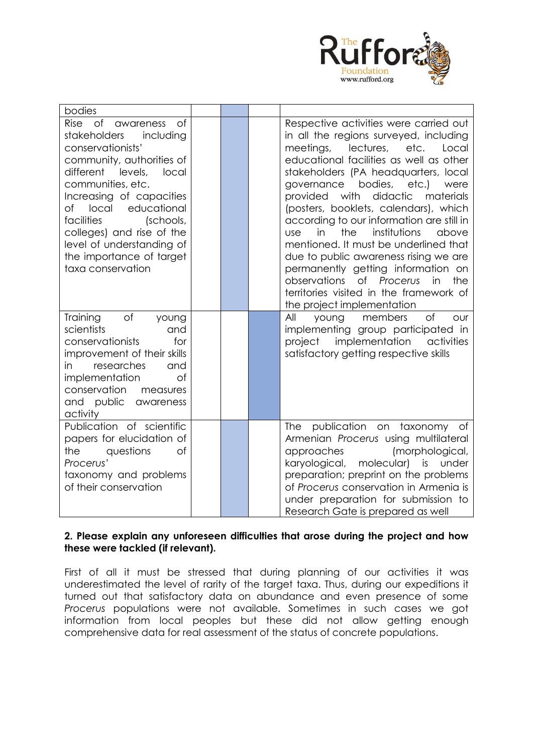

| bodies                                                                                                                                                                                                                                                                                                                                                       |  |                                                                                                                                                                                                                                                                                                                                                                                                                                                                                                                                                                                                                                                                                           |
|--------------------------------------------------------------------------------------------------------------------------------------------------------------------------------------------------------------------------------------------------------------------------------------------------------------------------------------------------------------|--|-------------------------------------------------------------------------------------------------------------------------------------------------------------------------------------------------------------------------------------------------------------------------------------------------------------------------------------------------------------------------------------------------------------------------------------------------------------------------------------------------------------------------------------------------------------------------------------------------------------------------------------------------------------------------------------------|
| Rise of awareness<br>0t<br>stakeholders<br>including<br>conservationists'<br>community, authorities of<br>different<br>levels,<br>local<br>communities, etc.<br>Increasing of capacities<br>educational<br>of<br>local<br>facilities<br>(schools,<br>colleges) and rise of the<br>level of understanding of<br>the importance of target<br>taxa conservation |  | Respective activities were carried out<br>in all the regions surveyed, including<br>meetings,<br>lectures,<br>etc.<br>Local<br>educational facilities as well as other<br>stakeholders (PA headquarters, local<br>bodies,<br>etc.)<br>governance<br>were<br>didactic<br>provided with<br>materials<br>(posters, booklets, calendars), which<br>according to our information are still in<br>the<br>institutions<br>in<br>above<br><b>use</b><br>mentioned. It must be underlined that<br>due to public awareness rising we are<br>permanently getting information on<br>of Procerus<br>observations<br>the<br>in<br>territories visited in the framework of<br>the project implementation |
| Training<br>of<br>young<br>scientists<br>and<br>conservationists<br>for<br>improvement of their skills<br>researches<br>and<br>in.<br>implementation<br>of<br>conservation<br>measures<br>and public awareness<br>activity                                                                                                                                   |  | of<br>members<br>All<br>our<br>young<br>implementing group participated in<br>project implementation activities<br>satisfactory getting respective skills                                                                                                                                                                                                                                                                                                                                                                                                                                                                                                                                 |
| Publication of scientific<br>papers for elucidation of<br>questions<br>the<br>of<br>Procerus'<br>taxonomy and problems<br>of their conservation                                                                                                                                                                                                              |  | publication on taxonomy of<br><b>The</b><br>Armenian Procerus using multilateral<br>(morphological,<br>approaches<br>molecular) is under<br>karyological,<br>preparation; preprint on the problems<br>of Procerus conservation in Armenia is<br>under preparation for submission to<br>Research Gate is prepared as well                                                                                                                                                                                                                                                                                                                                                                  |

## **2. Please explain any unforeseen difficulties that arose during the project and how these were tackled (if relevant).**

First of all it must be stressed that during planning of our activities it was underestimated the level of rarity of the target taxa. Thus, during our expeditions it turned out that satisfactory data on abundance and even presence of some *Procerus* populations were not available. Sometimes in such cases we got information from local peoples but these did not allow getting enough comprehensive data for real assessment of the status of concrete populations.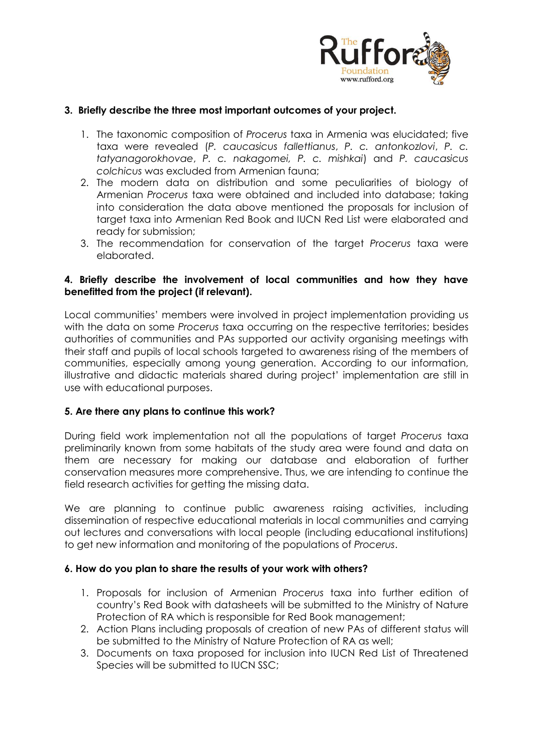

# **3. Briefly describe the three most important outcomes of your project.**

- 1. The taxonomic composition of *Procerus* taxa in Armenia was elucidated; five taxa were revealed (*P. caucasicus fallettianus*, *P. c. antonkozlovi*, *P. c. tatyanagorokhovae*, *P. c. nakagomei, P. c. mishkai*) and *P. caucasicus colchicus* was excluded from Armenian fauna;
- 2. The modern data on distribution and some peculiarities of biology of Armenian *Procerus* taxa were obtained and included into database; taking into consideration the data above mentioned the proposals for inclusion of target taxa into Armenian Red Book and IUCN Red List were elaborated and ready for submission;
- 3. The recommendation for conservation of the target *Procerus* taxa were elaborated.

# **4. Briefly describe the involvement of local communities and how they have benefitted from the project (if relevant).**

Local communities' members were involved in project implementation providing us with the data on some *Procerus* taxa occurring on the respective territories; besides authorities of communities and PAs supported our activity organising meetings with their staff and pupils of local schools targeted to awareness rising of the members of communities, especially among young generation. According to our information, illustrative and didactic materials shared during project' implementation are still in use with educational purposes.

# **5. Are there any plans to continue this work?**

During field work implementation not all the populations of target *Procerus* taxa preliminarily known from some habitats of the study area were found and data on them are necessary for making our database and elaboration of further conservation measures more comprehensive. Thus, we are intending to continue the field research activities for getting the missing data.

We are planning to continue public awareness raising activities, including dissemination of respective educational materials in local communities and carrying out lectures and conversations with local people (including educational institutions) to get new information and monitoring of the populations of *Procerus*.

#### **6. How do you plan to share the results of your work with others?**

- 1. Proposals for inclusion of Armenian *Procerus* taxa into further edition of country's Red Book with datasheets will be submitted to the Ministry of Nature Protection of RA which is responsible for Red Book management;
- 2. Action Plans including proposals of creation of new PAs of different status will be submitted to the Ministry of Nature Protection of RA as well;
- 3. Documents on taxa proposed for inclusion into IUCN Red List of Threatened Species will be submitted to IUCN SSC;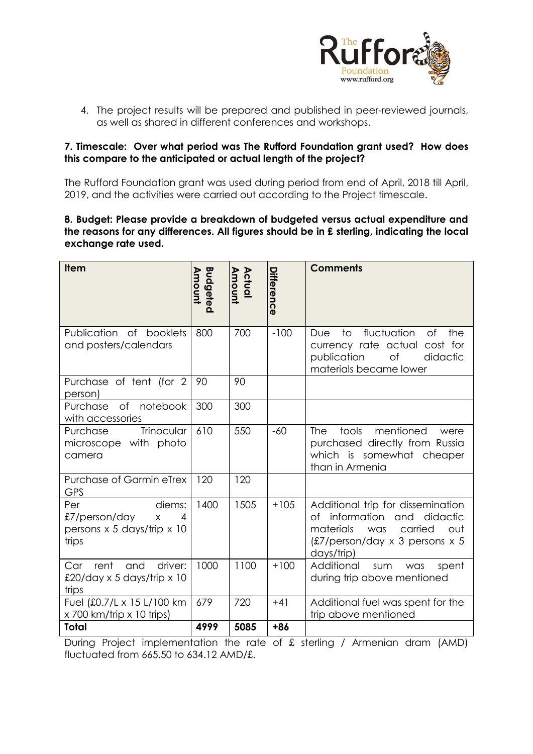

4. The project results will be prepared and published in peer-reviewed journals, as well as shared in different conferences and workshops.

# **7. Timescale: Over what period was The Rufford Foundation grant used? How does this compare to the anticipated or actual length of the project?**

The Rufford Foundation grant was used during period from end of April, 2018 till April, 2019, and the activities were carried out according to the Project timescale.

#### **8. Budget: Please provide a breakdown of budgeted versus actual expenditure and the reasons for any differences. All figures should be in £ sterling, indicating the local exchange rate used.**

| <b>Item</b>                                                                                  | Budgeted<br>Amount | Actual<br>Amount | Differenc<br>ወ | <b>Comments</b>                                                                                                                                                         |
|----------------------------------------------------------------------------------------------|--------------------|------------------|----------------|-------------------------------------------------------------------------------------------------------------------------------------------------------------------------|
| Publication of<br>booklets<br>and posters/calendars                                          | 800                | 700              | $-100$         | fluctuation<br>of<br>Due<br>to<br>the<br>currency rate actual cost for<br>publication<br>of<br>didactic<br>materials became lower                                       |
| Purchase of tent (for 2<br>person)                                                           | 90                 | 90               |                |                                                                                                                                                                         |
| of notebook<br>Purchase<br>with accessories                                                  | 300                | 300              |                |                                                                                                                                                                         |
| Trinocular<br>Purchase<br>microscope with photo<br>camera                                    | 610                | 550              | $-60$          | tools<br>mentioned<br><b>The</b><br>were<br>purchased directly from Russia<br>which is somewhat cheaper<br>than in Armenia                                              |
| Purchase of Garmin eTrex<br><b>GPS</b>                                                       | 120                | 120              |                |                                                                                                                                                                         |
| Per<br>diems:<br>£7/person/day<br>$\overline{4}$<br>X<br>persons x 5 days/trip x 10<br>trips | 1400               | 1505             | $+105$         | Additional trip for dissemination<br>of information<br>didactic<br>and<br>materials<br>carried<br>was<br>out<br>$£7/person/day \times 3 persons \times 5$<br>days/trip) |
| driver:<br>rent<br>and<br>Car<br>£20/day x 5 days/trip x 10<br>trips                         | 1000               | 1100             | $+100$         | Additional<br>sum<br>was<br>spent<br>during trip above mentioned                                                                                                        |
| Fuel (£0.7/L x 15 L/100 km<br>x 700 km/trip x 10 trips)                                      | 679                | 720              | $+41$          | Additional fuel was spent for the<br>trip above mentioned                                                                                                               |
| <b>Total</b>                                                                                 | 4999               | 5085             | +86            |                                                                                                                                                                         |

During Project implementation the rate of £ sterling / Armenian dram (AMD) fluctuated from 665.50 to 634.12 AMD/£.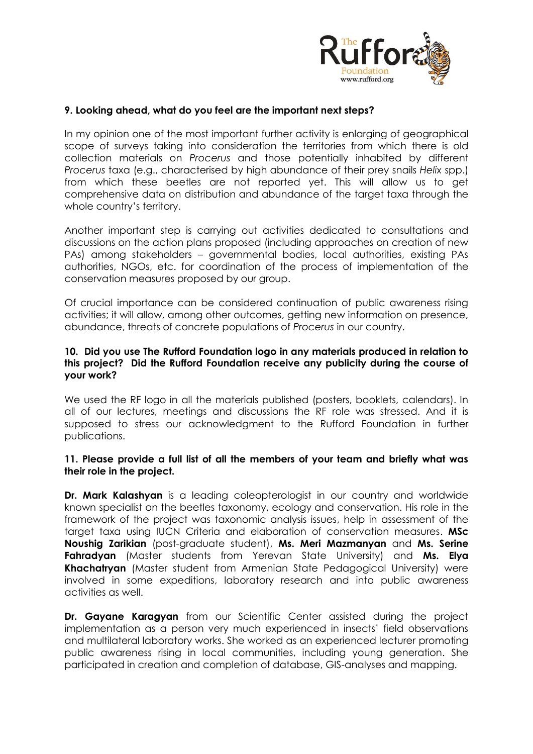

#### **9. Looking ahead, what do you feel are the important next steps?**

In my opinion one of the most important further activity is enlarging of geographical scope of surveys taking into consideration the territories from which there is old collection materials on *Procerus* and those potentially inhabited by different *Procerus* taxa (e.g., characterised by high abundance of their prey snails *Helix* spp.) from which these beetles are not reported yet. This will allow us to get comprehensive data on distribution and abundance of the target taxa through the whole country's territory.

Another important step is carrying out activities dedicated to consultations and discussions on the action plans proposed (including approaches on creation of new PAs) among stakeholders – governmental bodies, local authorities, existing PAs authorities, NGOs, etc. for coordination of the process of implementation of the conservation measures proposed by our group.

Of crucial importance can be considered continuation of public awareness rising activities; it will allow, among other outcomes, getting new information on presence, abundance, threats of concrete populations of *Procerus* in our country.

#### **10. Did you use The Rufford Foundation logo in any materials produced in relation to this project? Did the Rufford Foundation receive any publicity during the course of your work?**

We used the RF logo in all the materials published (posters, booklets, calendars). In all of our lectures, meetings and discussions the RF role was stressed. And it is supposed to stress our acknowledgment to the Rufford Foundation in further publications.

#### **11. Please provide a full list of all the members of your team and briefly what was their role in the project.**

**Dr. Mark Kalashyan** is a leading coleopterologist in our country and worldwide known specialist on the beetles taxonomy, ecology and conservation. His role in the framework of the project was taxonomic analysis issues, help in assessment of the target taxa using IUCN Criteria and elaboration of conservation measures. **MSc Noushig Zarikian** (post-graduate student), **Ms. Meri Mazmanyan** and **Ms. Serine Fahradyan** (Master students from Yerevan State University) and **Ms. Elya Khachatryan** (Master student from Armenian State Pedagogical University) were involved in some expeditions, laboratory research and into public awareness activities as well.

**Dr. Gayane Karagyan** from our Scientific Center assisted during the project implementation as a person very much experienced in insects' field observations and multilateral laboratory works. She worked as an experienced lecturer promoting public awareness rising in local communities, including young generation. She participated in creation and completion of database, GIS-analyses and mapping.